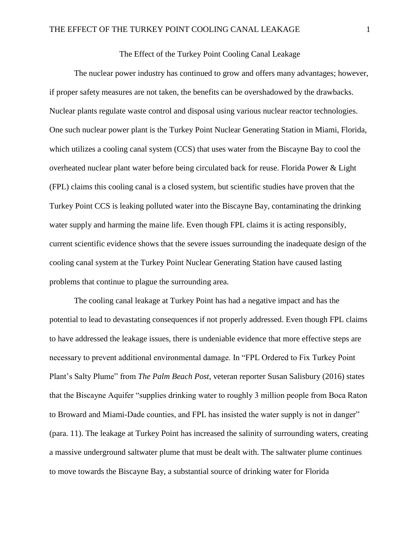## The Effect of the Turkey Point Cooling Canal Leakage

The nuclear power industry has continued to grow and offers many advantages; however, if proper safety measures are not taken, the benefits can be overshadowed by the drawbacks. Nuclear plants regulate waste control and disposal using various nuclear reactor technologies. One such nuclear power plant is the Turkey Point Nuclear Generating Station in Miami, Florida, which utilizes a cooling canal system (CCS) that uses water from the Biscayne Bay to cool the overheated nuclear plant water before being circulated back for reuse. Florida Power & Light (FPL) claims this cooling canal is a closed system, but scientific studies have proven that the Turkey Point CCS is leaking polluted water into the Biscayne Bay, contaminating the drinking water supply and harming the maine life. Even though FPL claims it is acting responsibly, current scientific evidence shows that the severe issues surrounding the inadequate design of the cooling canal system at the Turkey Point Nuclear Generating Station have caused lasting problems that continue to plague the surrounding area.

The cooling canal leakage at Turkey Point has had a negative impact and has the potential to lead to devastating consequences if not properly addressed. Even though FPL claims to have addressed the leakage issues, there is undeniable evidence that more effective steps are necessary to prevent additional environmental damage. In "FPL Ordered to Fix Turkey Point Plant's Salty Plume" from *The Palm Beach Post*, veteran reporter Susan Salisbury (2016) states that the Biscayne Aquifer "supplies drinking water to roughly 3 million people from Boca Raton to Broward and Miami-Dade counties, and FPL has insisted the water supply is not in danger" (para. 11). The leakage at Turkey Point has increased the salinity of surrounding waters, creating a massive underground saltwater plume that must be dealt with. The saltwater plume continues to move towards the Biscayne Bay, a substantial source of drinking water for Florida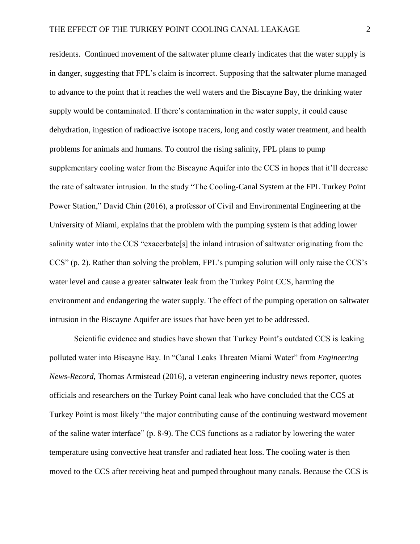residents. Continued movement of the saltwater plume clearly indicates that the water supply is in danger, suggesting that FPL's claim is incorrect. Supposing that the saltwater plume managed to advance to the point that it reaches the well waters and the Biscayne Bay, the drinking water supply would be contaminated. If there's contamination in the water supply, it could cause dehydration, ingestion of radioactive isotope tracers, long and costly water treatment, and health problems for animals and humans. To control the rising salinity, FPL plans to pump supplementary cooling water from the Biscayne Aquifer into the CCS in hopes that it'll decrease the rate of saltwater intrusion. In the study "The Cooling-Canal System at the FPL Turkey Point Power Station," David Chin (2016), a professor of Civil and Environmental Engineering at the University of Miami, explains that the problem with the pumping system is that adding lower salinity water into the CCS "exacerbate[s] the inland intrusion of saltwater originating from the CCS" (p. 2). Rather than solving the problem, FPL's pumping solution will only raise the CCS's water level and cause a greater saltwater leak from the Turkey Point CCS, harming the environment and endangering the water supply. The effect of the pumping operation on saltwater intrusion in the Biscayne Aquifer are issues that have been yet to be addressed.

Scientific evidence and studies have shown that Turkey Point's outdated CCS is leaking polluted water into Biscayne Bay. In "Canal Leaks Threaten Miami Water" from *Engineering News-Record*, Thomas Armistead (2016), a veteran engineering industry news reporter, quotes officials and researchers on the Turkey Point canal leak who have concluded that the CCS at Turkey Point is most likely "the major contributing cause of the continuing westward movement of the saline water interface" (p. 8-9). The CCS functions as a radiator by lowering the water temperature using convective heat transfer and radiated heat loss. The cooling water is then moved to the CCS after receiving heat and pumped throughout many canals. Because the CCS is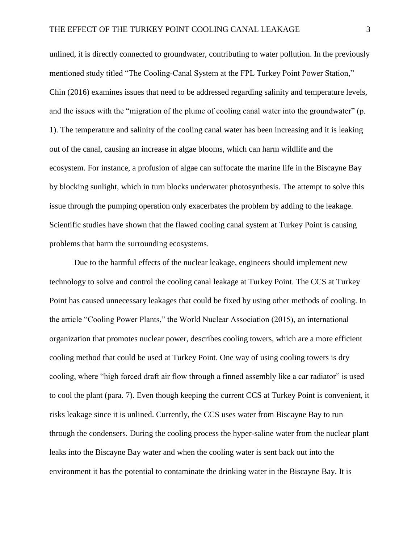unlined, it is directly connected to groundwater, contributing to water pollution. In the previously mentioned study titled "The Cooling-Canal System at the FPL Turkey Point Power Station," Chin (2016) examines issues that need to be addressed regarding salinity and temperature levels, and the issues with the "migration of the plume of cooling canal water into the groundwater" (p. 1). The temperature and salinity of the cooling canal water has been increasing and it is leaking out of the canal, causing an increase in algae blooms, which can harm wildlife and the ecosystem. For instance, a profusion of algae can suffocate the marine life in the Biscayne Bay by blocking sunlight, which in turn blocks underwater photosynthesis. The attempt to solve this issue through the pumping operation only exacerbates the problem by adding to the leakage. Scientific studies have shown that the flawed cooling canal system at Turkey Point is causing problems that harm the surrounding ecosystems.

Due to the harmful effects of the nuclear leakage, engineers should implement new technology to solve and control the cooling canal leakage at Turkey Point. The CCS at Turkey Point has caused unnecessary leakages that could be fixed by using other methods of cooling. In the article "Cooling Power Plants," the World Nuclear Association (2015), an international organization that promotes nuclear power, describes cooling towers, which are a more efficient cooling method that could be used at Turkey Point. One way of using cooling towers is dry cooling, where "high forced draft air flow through a finned assembly like a car radiator" is used to cool the plant (para. 7). Even though keeping the current CCS at Turkey Point is convenient, it risks leakage since it is unlined. Currently, the CCS uses water from Biscayne Bay to run through the condensers. During the cooling process the hyper-saline water from the nuclear plant leaks into the Biscayne Bay water and when the cooling water is sent back out into the environment it has the potential to contaminate the drinking water in the Biscayne Bay. It is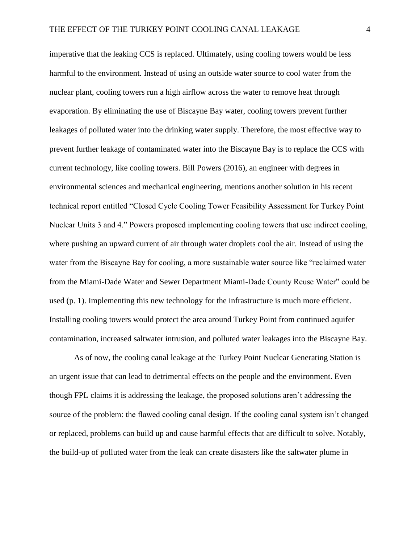imperative that the leaking CCS is replaced. Ultimately, using cooling towers would be less harmful to the environment. Instead of using an outside water source to cool water from the nuclear plant, cooling towers run a high airflow across the water to remove heat through evaporation. By eliminating the use of Biscayne Bay water, cooling towers prevent further leakages of polluted water into the drinking water supply. Therefore, the most effective way to prevent further leakage of contaminated water into the Biscayne Bay is to replace the CCS with current technology, like cooling towers. Bill Powers (2016), an engineer with degrees in environmental sciences and mechanical engineering, mentions another solution in his recent technical report entitled "Closed Cycle Cooling Tower Feasibility Assessment for Turkey Point Nuclear Units 3 and 4." Powers proposed implementing cooling towers that use indirect cooling, where pushing an upward current of air through water droplets cool the air. Instead of using the water from the Biscayne Bay for cooling, a more sustainable water source like "reclaimed water from the Miami-Dade Water and Sewer Department Miami-Dade County Reuse Water" could be used (p. 1). Implementing this new technology for the infrastructure is much more efficient. Installing cooling towers would protect the area around Turkey Point from continued aquifer contamination, increased saltwater intrusion, and polluted water leakages into the Biscayne Bay.

As of now, the cooling canal leakage at the Turkey Point Nuclear Generating Station is an urgent issue that can lead to detrimental effects on the people and the environment. Even though FPL claims it is addressing the leakage, the proposed solutions aren't addressing the source of the problem: the flawed cooling canal design. If the cooling canal system isn't changed or replaced, problems can build up and cause harmful effects that are difficult to solve. Notably, the build-up of polluted water from the leak can create disasters like the saltwater plume in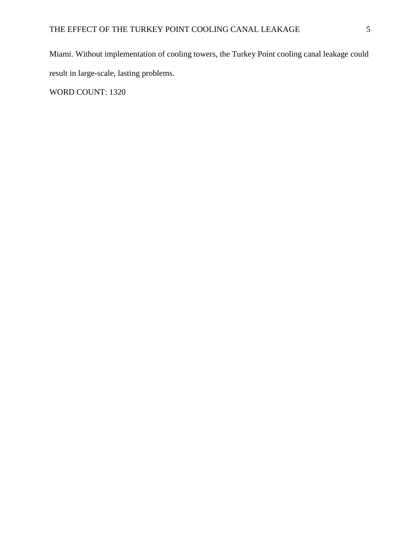Miami. Without implementation of cooling towers, the Turkey Point cooling canal leakage could result in large-scale, lasting problems. WORD COUNT: 1320